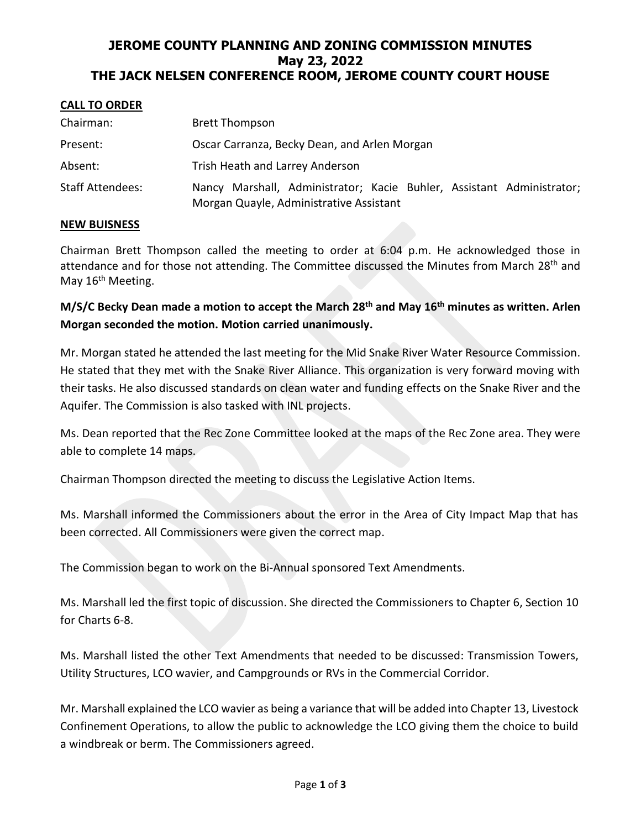# **JEROME COUNTY PLANNING AND ZONING COMMISSION MINUTES May 23, 2022 THE JACK NELSEN CONFERENCE ROOM, JEROME COUNTY COURT HOUSE**

### **CALL TO ORDER**

| Chairman:               | <b>Brett Thompson</b>                                                                                            |
|-------------------------|------------------------------------------------------------------------------------------------------------------|
| Present:                | Oscar Carranza, Becky Dean, and Arlen Morgan                                                                     |
| Absent:                 | Trish Heath and Larrey Anderson                                                                                  |
| <b>Staff Attendees:</b> | Nancy Marshall, Administrator; Kacie Buhler, Assistant Administrator;<br>Morgan Quayle, Administrative Assistant |

### **NEW BUISNESS**

Chairman Brett Thompson called the meeting to order at 6:04 p.m. He acknowledged those in attendance and for those not attending. The Committee discussed the Minutes from March 28<sup>th</sup> and May 16<sup>th</sup> Meeting.

**M/S/C Becky Dean made a motion to accept the March 28th and May 16th minutes as written. Arlen Morgan seconded the motion. Motion carried unanimously.**

Mr. Morgan stated he attended the last meeting for the Mid Snake River Water Resource Commission. He stated that they met with the Snake River Alliance. This organization is very forward moving with their tasks. He also discussed standards on clean water and funding effects on the Snake River and the Aquifer. The Commission is also tasked with INL projects.

Ms. Dean reported that the Rec Zone Committee looked at the maps of the Rec Zone area. They were able to complete 14 maps.

Chairman Thompson directed the meeting to discuss the Legislative Action Items.

Ms. Marshall informed the Commissioners about the error in the Area of City Impact Map that has been corrected. All Commissioners were given the correct map.

The Commission began to work on the Bi-Annual sponsored Text Amendments.

Ms. Marshall led the first topic of discussion. She directed the Commissioners to Chapter 6, Section 10 for Charts 6-8.

Ms. Marshall listed the other Text Amendments that needed to be discussed: Transmission Towers, Utility Structures, LCO wavier, and Campgrounds or RVs in the Commercial Corridor.

Mr. Marshall explained the LCO wavier as being a variance that will be added into Chapter 13, Livestock Confinement Operations, to allow the public to acknowledge the LCO giving them the choice to build a windbreak or berm. The Commissioners agreed.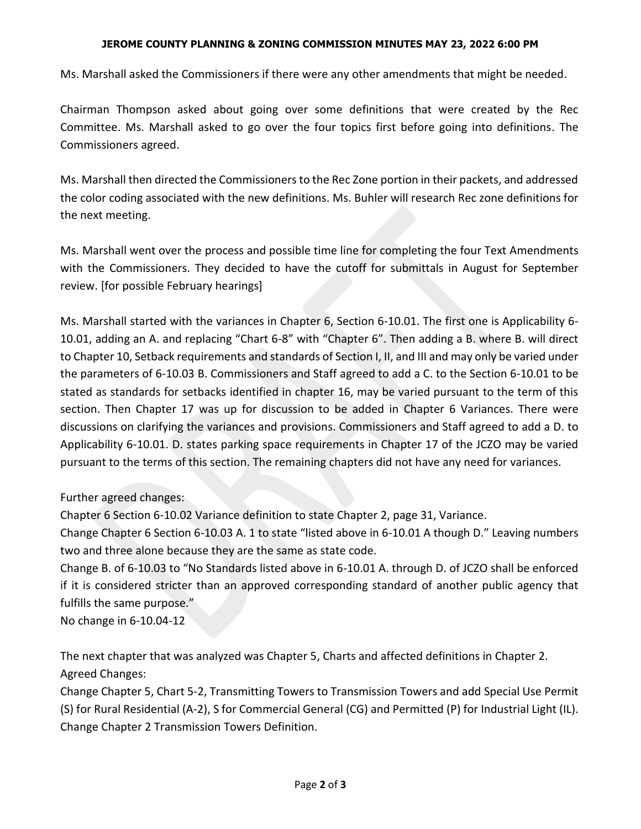### **JEROME COUNTY PLANNING & ZONING COMMISSION MINUTES MAY 23, 2022 6:00 PM**

Ms. Marshall asked the Commissioners if there were any other amendments that might be needed.

Chairman Thompson asked about going over some definitions that were created by the Rec Committee. Ms. Marshall asked to go over the four topics first before going into definitions. The Commissioners agreed.

Ms. Marshall then directed the Commissioners to the Rec Zone portion in their packets, and addressed the color coding associated with the new definitions. Ms. Buhler will research Rec zone definitions for the next meeting.

Ms. Marshall went over the process and possible time line for completing the four Text Amendments with the Commissioners. They decided to have the cutoff for submittals in August for September review. [for possible February hearings]

Ms. Marshall started with the variances in Chapter 6, Section 6-10.01. The first one is Applicability 6- 10.01, adding an A. and replacing "Chart 6-8" with "Chapter 6". Then adding a B. where B. will direct to Chapter 10, Setback requirements and standards of Section I, II, and III and may only be varied under the parameters of 6-10.03 B. Commissioners and Staff agreed to add a C. to the Section 6-10.01 to be stated as standards for setbacks identified in chapter 16, may be varied pursuant to the term of this section. Then Chapter 17 was up for discussion to be added in Chapter 6 Variances. There were discussions on clarifying the variances and provisions. Commissioners and Staff agreed to add a D. to Applicability 6-10.01. D. states parking space requirements in Chapter 17 of the JCZO may be varied pursuant to the terms of this section. The remaining chapters did not have any need for variances.

# Further agreed changes:

Chapter 6 Section 6-10.02 Variance definition to state Chapter 2, page 31, Variance.

Change Chapter 6 Section 6-10.03 A. 1 to state "listed above in 6-10.01 A though D." Leaving numbers two and three alone because they are the same as state code.

Change B. of 6-10.03 to "No Standards listed above in 6-10.01 A. through D. of JCZO shall be enforced if it is considered stricter than an approved corresponding standard of another public agency that fulfills the same purpose."

No change in 6-10.04-12

The next chapter that was analyzed was Chapter 5, Charts and affected definitions in Chapter 2. Agreed Changes:

Change Chapter 5, Chart 5-2, Transmitting Towers to Transmission Towers and add Special Use Permit (S) for Rural Residential (A-2), S for Commercial General (CG) and Permitted (P) for Industrial Light (IL). Change Chapter 2 Transmission Towers Definition.